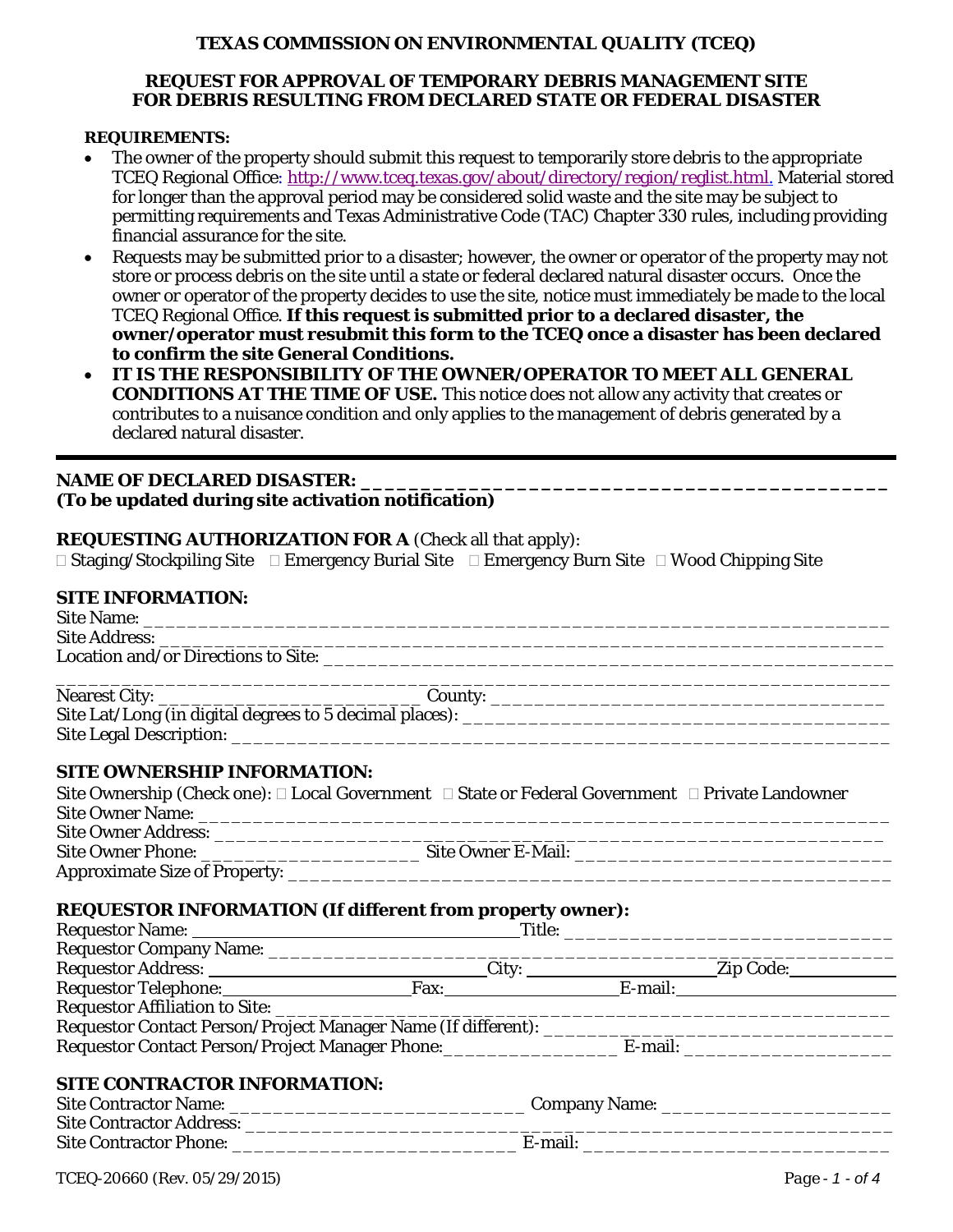# **TEXAS COMMISSION ON ENVIRONMENTAL QUALITY (TCEQ)**

# **REQUEST FOR APPROVAL OF TEMPORARY DEBRIS MANAGEMENT SITE FOR DEBRIS RESULTING FROM DECLARED STATE OR FEDERAL DISASTER**

### **REQUIREMENTS:**

- The owner of the property should submit this request to temporarily store debris to the appropriate TCEQ Regional Office: [http://www.tceq.texas.gov/about/directory/region/reglist.html.](http://www.tceq.texas.gov/about/directory/region/reglist.html) Material stored for longer than the approval period may be considered solid waste and the site may be subject to permitting requirements and Texas Administrative Code (TAC) Chapter 330 rules, including providing financial assurance for the site.
- Requests may be submitted prior to a disaster; however, the owner or operator of the property may not store or process debris on the site until a state or federal declared natural disaster occurs. Once the owner or operator of the property decides to use the site, notice must immediately be made to the local TCEQ Regional Office. **If this request is submitted prior to a declared disaster, the owner/operator must resubmit this form to the TCEQ once a disaster has been declared to confirm the site General Conditions.**
- **IT IS THE RESPONSIBILITY OF THE OWNER/OPERATOR TO MEET ALL GENERAL CONDITIONS AT THE TIME OF USE.** This notice does not allow any activity that creates or contributes to a nuisance condition and only applies to the management of debris generated by a declared natural disaster.

### NAME OF DECLARED DISASTER: **(To be updated during site activation notification)**

### **REQUESTING AUTHORIZATION FOR A** (Check all that apply):

 $\Box$  Staging/Stockpiling Site  $\Box$  Emergency Burial Site  $\Box$  Emergency Burn Site  $\Box$  Wood Chipping Site

# **SITE INFORMATION:**

### **SITE OWNERSHIP INFORMATION:**

|                            | Site Ownership (Check one): $\square$ Local Government $\square$ State or Federal Government $\square$ Private Landowner |
|----------------------------|--------------------------------------------------------------------------------------------------------------------------|
| <b>Site Owner Name:</b>    |                                                                                                                          |
| <b>Site Owner Address:</b> |                                                                                                                          |
| Site Owner Phone:          | Site Owner E-Mail:                                                                                                       |
|                            |                                                                                                                          |

### **REQUESTOR INFORMATION (If different from property owner):**

| Requestor Address: ____________________________City: __________________Zip Code: ___________________ |  |  |  |  |  |  |
|------------------------------------------------------------------------------------------------------|--|--|--|--|--|--|
| Requestor Telephone: Fax: Fax: E-mail: E-mail:                                                       |  |  |  |  |  |  |
|                                                                                                      |  |  |  |  |  |  |
|                                                                                                      |  |  |  |  |  |  |
| Requestor Contact Person/Project Manager Phone: E-mail: ____________ E-mail: _______________________ |  |  |  |  |  |  |
|                                                                                                      |  |  |  |  |  |  |
| <b>SITE CONTRACTOR INFORMATION:</b>                                                                  |  |  |  |  |  |  |
|                                                                                                      |  |  |  |  |  |  |
| <b>Site Contractor Address:</b>                                                                      |  |  |  |  |  |  |

Site Contractor Phone: \_\_\_\_\_\_\_\_\_\_\_\_\_\_\_\_\_\_\_\_\_\_\_\_\_\_ E-mail: \_\_\_\_\_\_\_\_\_\_\_\_\_\_\_\_\_\_\_\_\_\_\_\_\_\_\_\_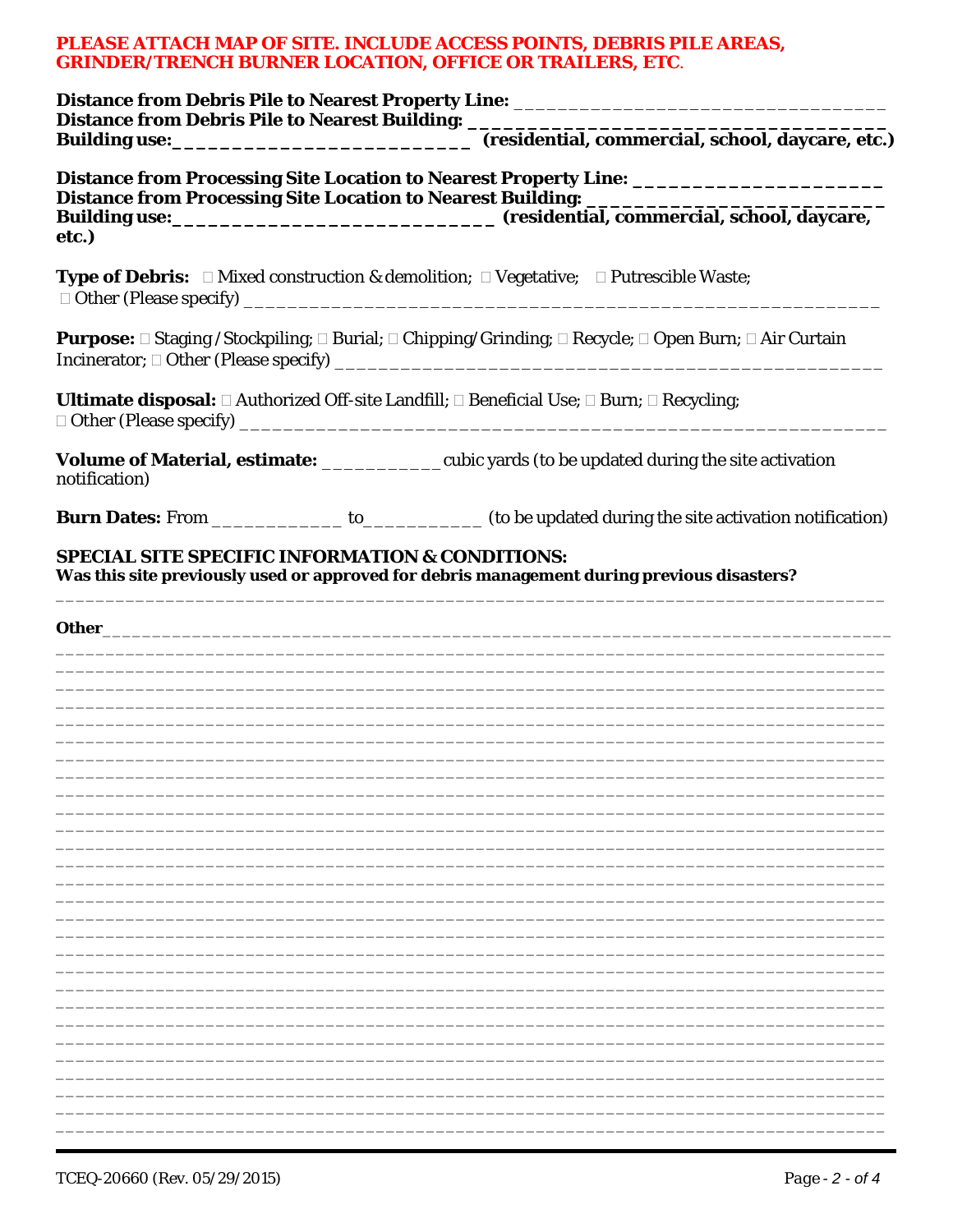# PLEASE ATTACH MAP OF SITE. INCLUDE ACCESS POINTS, DEBRIS PILE AREAS, **GRINDER/TRENCH BURNER LOCATION, OFFICE OR TRAILERS, ETC.**

| Distance from Debris Pile to Nearest Building: _________________________________                                                                                                                                               |                                                                                                                      |  |
|--------------------------------------------------------------------------------------------------------------------------------------------------------------------------------------------------------------------------------|----------------------------------------------------------------------------------------------------------------------|--|
|                                                                                                                                                                                                                                |                                                                                                                      |  |
|                                                                                                                                                                                                                                | Distance from Processing Site Location to Nearest Property Line: ______________________                              |  |
| etc.)                                                                                                                                                                                                                          |                                                                                                                      |  |
|                                                                                                                                                                                                                                | <b>Type of Debris:</b> $\Box$ Mixed construction & demolition; $\Box$ Vegetative; $\Box$ Putrescible Waste;          |  |
|                                                                                                                                                                                                                                | Purpose: □ Staging / Stockpiling; □ Burial; □ Chipping/Grinding; □ Recycle; □ Open Burn; □ Air Curtain               |  |
|                                                                                                                                                                                                                                | <b>Ultimate disposal:</b> $\Box$ Authorized Off-site Landfill; $\Box$ Beneficial Use; $\Box$ Burn; $\Box$ Recycling; |  |
| notification)                                                                                                                                                                                                                  | Volume of Material, estimate: _____________cubic yards (to be updated during the site activation                     |  |
|                                                                                                                                                                                                                                | Burn Dates: From ______________ to____________ (to be updated during the site activation notification)               |  |
| <b>SPECIAL SITE SPECIFIC INFORMATION &amp; CONDITIONS:</b>                                                                                                                                                                     | Was this site previously used or approved for debris management during previous disasters?                           |  |
| Other contracts of the contract of the contract of the contract of the contract of the contract of the contract of the contract of the contract of the contract of the contract of the contract of the contract of the contrac |                                                                                                                      |  |
|                                                                                                                                                                                                                                |                                                                                                                      |  |
|                                                                                                                                                                                                                                |                                                                                                                      |  |
|                                                                                                                                                                                                                                |                                                                                                                      |  |
|                                                                                                                                                                                                                                |                                                                                                                      |  |
|                                                                                                                                                                                                                                |                                                                                                                      |  |
|                                                                                                                                                                                                                                |                                                                                                                      |  |
|                                                                                                                                                                                                                                |                                                                                                                      |  |
|                                                                                                                                                                                                                                |                                                                                                                      |  |
|                                                                                                                                                                                                                                |                                                                                                                      |  |
|                                                                                                                                                                                                                                |                                                                                                                      |  |
|                                                                                                                                                                                                                                |                                                                                                                      |  |
|                                                                                                                                                                                                                                |                                                                                                                      |  |
|                                                                                                                                                                                                                                |                                                                                                                      |  |
|                                                                                                                                                                                                                                |                                                                                                                      |  |
|                                                                                                                                                                                                                                |                                                                                                                      |  |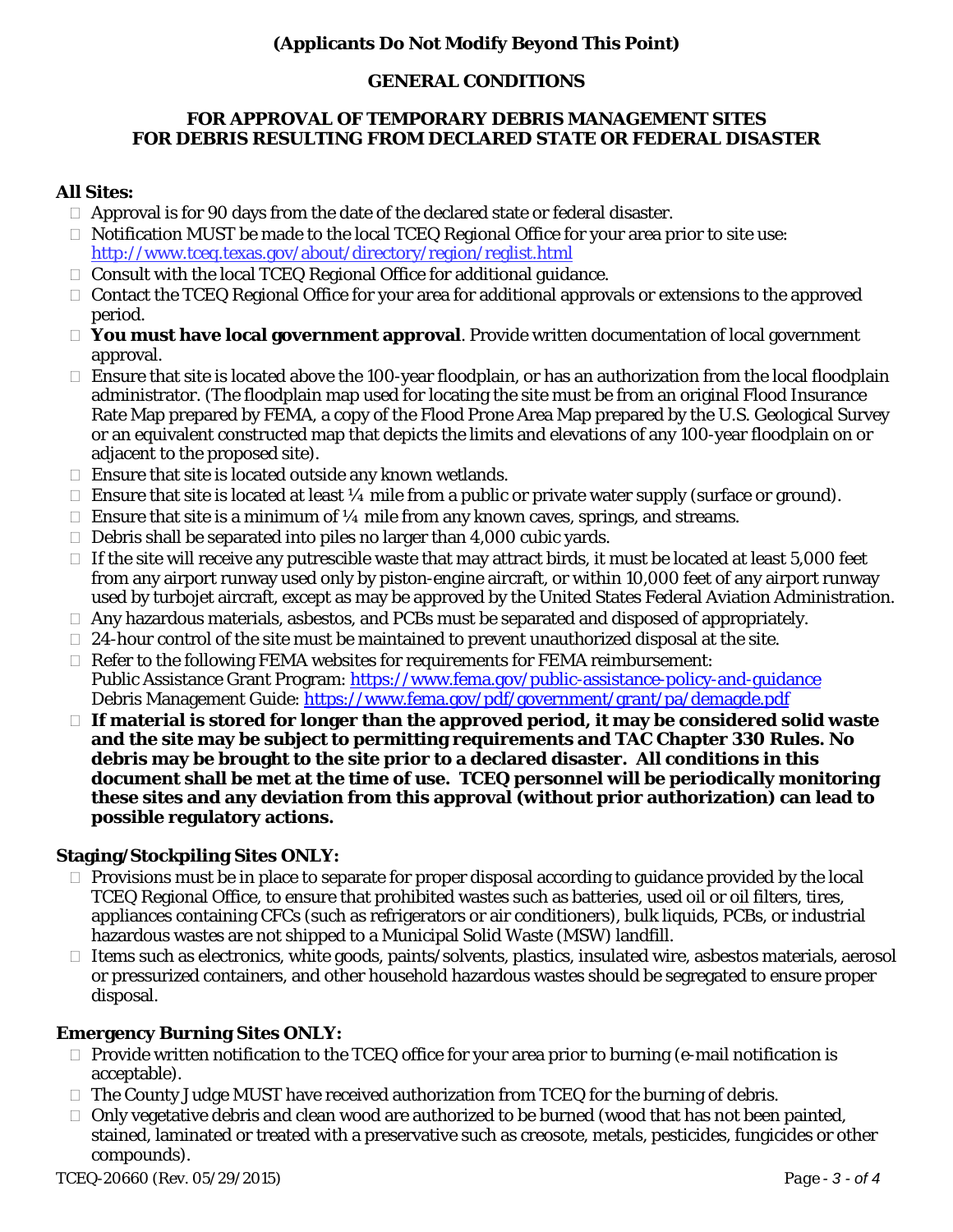# **(Applicants Do Not Modify Beyond This Point)**

# **GENERAL CONDITIONS**

### **FOR APPROVAL OF TEMPORARY DEBRIS MANAGEMENT SITES FOR DEBRIS RESULTING FROM DECLARED STATE OR FEDERAL DISASTER**

# **All Sites:**

- $\Box$  Approval is for 90 days from the date of the declared state or federal disaster.
- $\Box$  Notification MUST be made to the local TCEQ Regional Office for your area prior to site use: <http://www.tceq.texas.gov/about/directory/region/reglist.html>
- $\Box$  Consult with the local TCEQ Regional Office for additional guidance.
- $\Box$  Contact the TCEQ Regional Office for your area for additional approvals or extensions to the approved period.
- **You must have local government approval**. Provide written documentation of local government approval.
- Ensure that site is located above the 100-year floodplain, or has an authorization from the local floodplain administrator. (The floodplain map used for locating the site must be from an original Flood Insurance Rate Map prepared by FEMA, a copy of the Flood Prone Area Map prepared by the U.S. Geological Survey or an equivalent constructed map that depicts the limits and elevations of any 100-year floodplain on or adjacent to the proposed site)*.*
- $\Box$  Ensure that site is located outside any known wetlands.
- $\Box$  Ensure that site is located at least 1/4 mile from a public or private water supply (surface or ground).
- $\Box$  Ensure that site is a minimum of  $\frac{1}{4}$  mile from any known caves, springs, and streams.
- $\Box$  Debris shall be separated into piles no larger than 4,000 cubic yards.
- $\Box$  If the site will receive any putrescible waste that may attract birds, it must be located at least 5,000 feet from any airport runway used only by piston-engine aircraft, or within 10,000 feet of any airport runway used by turbojet aircraft, except as may be approved by the United States Federal Aviation Administration.
- $\Box$  Any hazardous materials, asbestos, and PCBs must be separated and disposed of appropriately.
- $\Box$  24-hour control of the site must be maintained to prevent unauthorized disposal at the site.
- $\Box$  Refer to the following FEMA websites for requirements for FEMA reimbursement: Public Assistance Grant Program:<https://www.fema.gov/public-assistance-policy-and-guidance> Debris Management Guide:<https://www.fema.gov/pdf/government/grant/pa/demagde.pdf>
- **If material is stored for longer than the approved period, it may be considered solid waste and the site may be subject to permitting requirements and TAC Chapter 330 Rules. No debris may be brought to the site prior to a declared disaster. All conditions in this document shall be met at the time of use. TCEQ personnel will be periodically monitoring these sites and any deviation from this approval (without prior authorization) can lead to possible regulatory actions.**

# **Staging/Stockpiling Sites ONLY:**

- $\Box$  Provisions must be in place to separate for proper disposal according to guidance provided by the local TCEQ Regional Office, to ensure that prohibited wastes such as batteries, used oil or oil filters, tires, appliances containing CFCs (such as refrigerators or air conditioners), bulk liquids, PCBs, or industrial hazardous wastes are not shipped to a Municipal Solid Waste (MSW) landfill.
- $\Box$  Items such as electronics, white goods, paints/solvents, plastics, insulated wire, asbestos materials, aerosol or pressurized containers, and other household hazardous wastes should be segregated to ensure proper disposal.

# **Emergency Burning Sites ONLY:**

- $\Box$  Provide written notification to the TCEQ office for your area prior to burning (e-mail notification is acceptable).
- $\Box$  The County Judge MUST have received authorization from TCEQ for the burning of debris.
- $\Box$  Only vegetative debris and clean wood are authorized to be burned (wood that has not been painted, stained, laminated or treated with a preservative such as creosote, metals, pesticides, fungicides or other compounds).